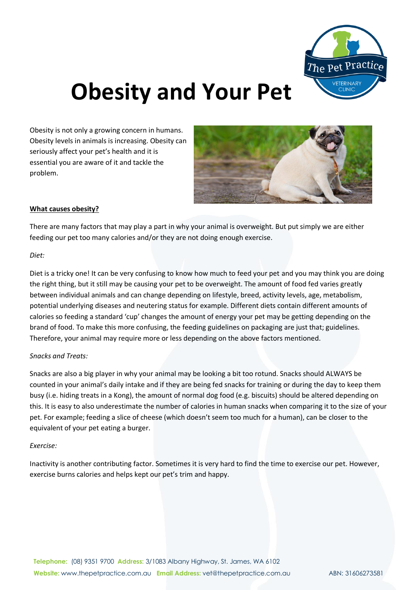

# **Obesity and Your Pet**

Obesity is not only a growing concern in humans. Obesity levels in animals is increasing. Obesity can seriously affect your pet's health and it is essential you are aware of it and tackle the problem.



## **What causes obesity?**

There are many factors that may play a part in why your animal is overweight. But put simply we are either feeding our pet too many calories and/or they are not doing enough exercise.

#### *Diet:*

Diet is a tricky one! It can be very confusing to know how much to feed your pet and you may think you are doing the right thing, but it still may be causing your pet to be overweight. The amount of food fed varies greatly between individual animals and can change depending on lifestyle, breed, activity levels, age, metabolism, potential underlying diseases and neutering status for example. Different diets contain different amounts of calories so feeding a standard 'cup' changes the amount of energy your pet may be getting depending on the brand of food. To make this more confusing, the feeding guidelines on packaging are just that; guidelines. Therefore, your animal may require more or less depending on the above factors mentioned.

## *Snacks and Treats:*

Snacks are also a big player in why your animal may be looking a bit too rotund. Snacks should ALWAYS be counted in your animal's daily intake and if they are being fed snacks for training or during the day to keep them busy (i.e. hiding treats in a Kong), the amount of normal dog food (e.g. biscuits) should be altered depending on this. It is easy to also underestimate the number of calories in human snacks when comparing it to the size of your pet. For example; feeding a slice of cheese (which doesn't seem too much for a human), can be closer to the equivalent of your pet eating a burger.

#### *Exercise:*

Inactivity is another contributing factor. Sometimes it is very hard to find the time to exercise our pet. However, exercise burns calories and helps kept our pet's trim and happy.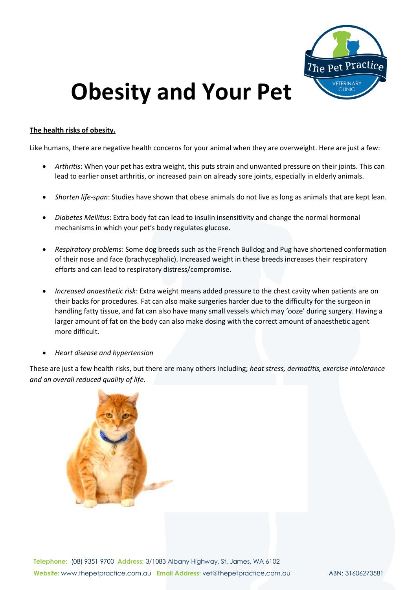

# **Obesity and Your Pet**

### **The health risks of obesity.**

Like humans, there are negative health concerns for your animal when they are overweight. Here are just a few:

- *Arthritis*: When your pet has extra weight, this puts strain and unwanted pressure on their joints. This can lead to earlier onset arthritis, or increased pain on already sore joints, especially in elderly animals.
- *Shorten life-span*: Studies have shown that obese animals do not live as long as animals that are kept lean.
- *Diabetes Mellitus*: Extra body fat can lead to insulin insensitivity and change the normal hormonal mechanisms in which your pet's body regulates glucose.
- *Respiratory problems*: Some dog breeds such as the French Bulldog and Pug have shortened conformation of their nose and face (brachycephalic). Increased weight in these breeds increases their respiratory efforts and can lead to respiratory distress/compromise.
- *Increased anaesthetic risk*: Extra weight means added pressure to the chest cavity when patients are on their backs for procedures. Fat can also make surgeries harder due to the difficulty for the surgeon in handling fatty tissue, and fat can also have many small vessels which may 'ooze' during surgery. Having a larger amount of fat on the body can also make dosing with the correct amount of anaesthetic agent more difficult.
- *Heart disease and hypertension*

These are just a few health risks, but there are many others including; *heat stress, dermatitis, exercise intolerance and an overall reduced quality of life.*